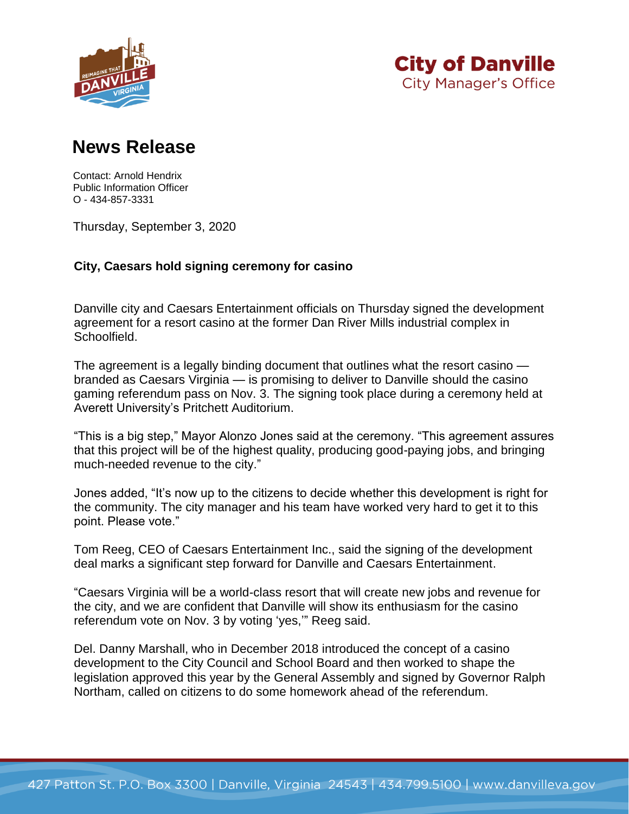



## **News Release**

Contact: Arnold Hendrix Public Information Officer O - 434-857-3331

Thursday, September 3, 2020

## **City, Caesars hold signing ceremony for casino**

Danville city and Caesars Entertainment officials on Thursday signed the development agreement for a resort casino at the former Dan River Mills industrial complex in Schoolfield.

The agreement is a legally binding document that outlines what the resort casino branded as Caesars Virginia — is promising to deliver to Danville should the casino gaming referendum pass on Nov. 3. The signing took place during a ceremony held at Averett University's Pritchett Auditorium.

"This is a big step," Mayor Alonzo Jones said at the ceremony. "This agreement assures that this project will be of the highest quality, producing good-paying jobs, and bringing much-needed revenue to the city."

Jones added, "It's now up to the citizens to decide whether this development is right for the community. The city manager and his team have worked very hard to get it to this point. Please vote."

Tom Reeg, CEO of Caesars Entertainment Inc., said the signing of the development deal marks a significant step forward for Danville and Caesars Entertainment.

"Caesars Virginia will be a world-class resort that will create new jobs and revenue for the city, and we are confident that Danville will show its enthusiasm for the casino referendum vote on Nov. 3 by voting 'yes,'" Reeg said.

Del. Danny Marshall, who in December 2018 introduced the concept of a casino development to the City Council and School Board and then worked to shape the legislation approved this year by the General Assembly and signed by Governor Ralph Northam, called on citizens to do some homework ahead of the referendum.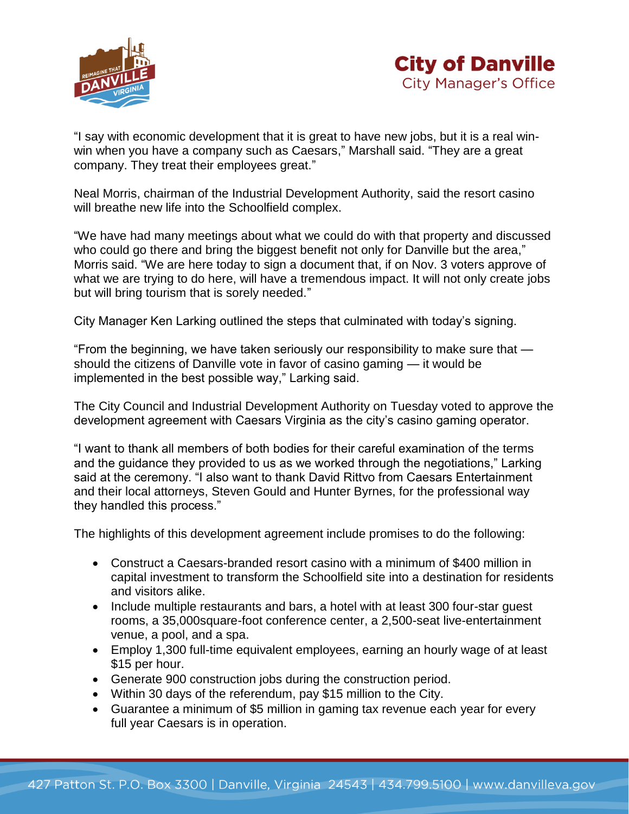



"I say with economic development that it is great to have new jobs, but it is a real winwin when you have a company such as Caesars," Marshall said. "They are a great company. They treat their employees great."

Neal Morris, chairman of the Industrial Development Authority, said the resort casino will breathe new life into the Schoolfield complex.

"We have had many meetings about what we could do with that property and discussed who could go there and bring the biggest benefit not only for Danville but the area," Morris said. "We are here today to sign a document that, if on Nov. 3 voters approve of what we are trying to do here, will have a tremendous impact. It will not only create jobs but will bring tourism that is sorely needed."

City Manager Ken Larking outlined the steps that culminated with today's signing.

"From the beginning, we have taken seriously our responsibility to make sure that should the citizens of Danville vote in favor of casino gaming — it would be implemented in the best possible way," Larking said.

The City Council and Industrial Development Authority on Tuesday voted to approve the development agreement with Caesars Virginia as the city's casino gaming operator.

"I want to thank all members of both bodies for their careful examination of the terms and the guidance they provided to us as we worked through the negotiations," Larking said at the ceremony. "I also want to thank David Rittvo from Caesars Entertainment and their local attorneys, Steven Gould and Hunter Byrnes, for the professional way they handled this process."

The highlights of this development agreement include promises to do the following:

- Construct a Caesars-branded resort casino with a minimum of \$400 million in capital investment to transform the Schoolfield site into a destination for residents and visitors alike.
- Include multiple restaurants and bars, a hotel with at least 300 four-star quest rooms, a 35,000square-foot conference center, a 2,500-seat live-entertainment venue, a pool, and a spa.
- Employ 1,300 full-time equivalent employees, earning an hourly wage of at least \$15 per hour.
- Generate 900 construction jobs during the construction period.
- Within 30 days of the referendum, pay \$15 million to the City.
- Guarantee a minimum of \$5 million in gaming tax revenue each year for every full year Caesars is in operation.